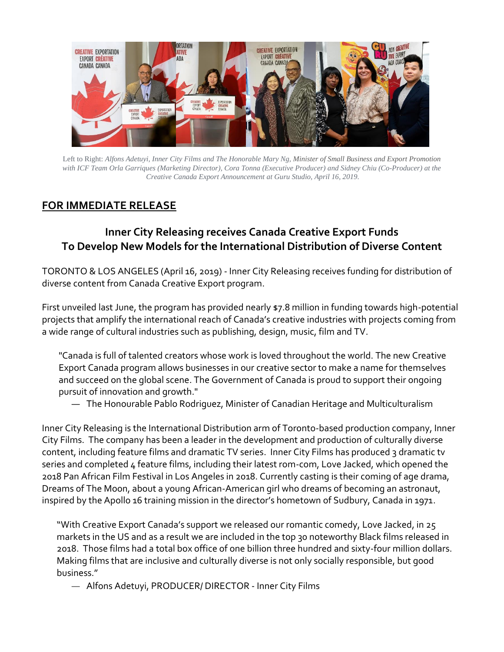

Left to Right: *Alfons Adetuyi, Inner City Films and The Honorable Mary Ng, Minister of Small Business and Export Promotion with ICF Team Orla Garriques (Marketing Director), Cora Tonna (Executive Producer) and Sidney Chiu (Co-Producer) at the Creative Canada Export Announcement at Guru Studio, April 16, 2019.*

# **FOR IMMEDIATE RELEASE**

# **Inner City Releasing receives Canada Creative Export Funds To Develop New Models for the International Distribution of Diverse Content**

TORONTO & LOS ANGELES (April 16, 2019) - Inner City Releasing receives funding for distribution of diverse content from Canada Creative Export program.

First unveiled last June, the program has provided nearly \$7.8 million in funding towards high-potential projects that amplify the international reach of Canada's creative industries with projects coming from a wide range of cultural industries such as publishing, design, music, film and TV.

"Canada is full of talented creators whose work is loved throughout the world. The new Creative Export Canada program allows businesses in our creative sector to make a name for themselves and succeed on the global scene. The Government of Canada is proud to support their ongoing pursuit of innovation and growth."

— The Honourable Pablo Rodriguez, Minister of Canadian Heritage and Multiculturalism

Inner City Releasing is the International Distribution arm of Toronto-based production company, Inner City Films. The company has been a leader in the development and production of culturally diverse content, including feature films and dramatic TV series. Inner City Films has produced 3 dramatic tv series and completed 4 feature films, including their latest rom-com, Love Jacked, which opened the 2018 Pan African Film Festival in Los Angeles in 2018. Currently casting is their coming of age drama, Dreams of The Moon, about a young African-American girl who dreams of becoming an astronaut, inspired by the Apollo 16 training mission in the director's hometown of Sudbury, Canada in 1971.

"With Creative Export Canada's support we released our romantic comedy, Love Jacked, in 25 markets in the US and as a result we are included in the top 30 noteworthy Black films released in 2018. Those films had a total box office of one billion three hundred and sixty-four million dollars. Making films that are inclusive and culturally diverse is not only socially responsible, but good business."

— Alfons Adetuyi, PRODUCER/ DIRECTOR - Inner City Films